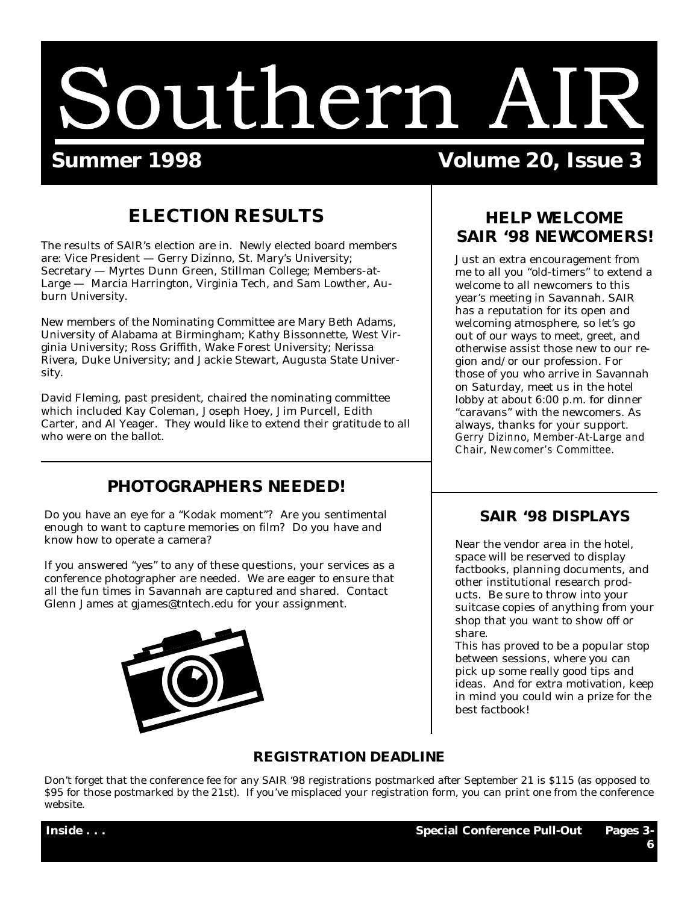# Southern AIR

# **Summer 1998 Volume 20, Issue 3**

# **ELECTION RESULTS**

The results of SAIR's election are in. Newly elected board members are: Vice President — Gerry Dizinno, St. Mary's University; Secretary — Myrtes Dunn Green, Stillman College; Members-at-Large — Marcia Harrington, Virginia Tech, and Sam Lowther, Auburn University.

New members of the Nominating Committee are Mary Beth Adams, University of Alabama at Birmingham; Kathy Bissonnette, West Virginia University; Ross Griffith, Wake Forest University; Nerissa Rivera, Duke University; and Jackie Stewart, Augusta State University.

David Fleming, past president, chaired the nominating committee which included Kay Coleman, Joseph Hoey, Jim Purcell, Edith Carter, and Al Yeager. They would like to extend their gratitude to all who were on the ballot.

# **PHOTOGRAPHERS NEEDED!**

Do you have an eye for a "Kodak moment"? Are you sentimental enough to want to capture memories on film? Do you have and know how to operate a camera?

If you answered "yes" to any of these questions, your services as a conference photographer are needed. We are eager to ensure that all the fun times in Savannah are captured and shared. Contact Glenn James at gjames@tntech.edu for your assignment.



# **HELP WELCOME SAIR '98 NEWCOMERS!**

Just an extra encouragement from me to all you "old-timers" to extend a welcome to all newcomers to this year's meeting in Savannah. SAIR has a reputation for its open and welcoming atmosphere, so let's go out of our ways to meet, greet, and otherwise assist those new to our region and/or our profession. For those of you who arrive in Savannah on Saturday, meet us in the hotel lobby at about 6:00 p.m. for dinner "caravans" with the newcomers. As always, thanks for your support. *Gerry Dizinno, Member-At-Large and Chair, Newcomer's Committee.*

# **SAIR '98 DISPLAYS**

Near the vendor area in the hotel, space will be reserved to display factbooks, planning documents, and other institutional research products. Be sure to throw into your suitcase copies of anything from your shop that you want to show off or share.

This has proved to be a popular stop between sessions, where you can pick up some really good tips and ideas. And for extra motivation, keep in mind you could win a prize for the best factbook!

## **REGISTRATION DEADLINE**

Don't forget that the conference fee for any SAIR '98 registrations postmarked after September 21 is \$115 (as opposed to \$95 for those postmarked by the 21st). If you've misplaced your registration form, you can print one from the conference website.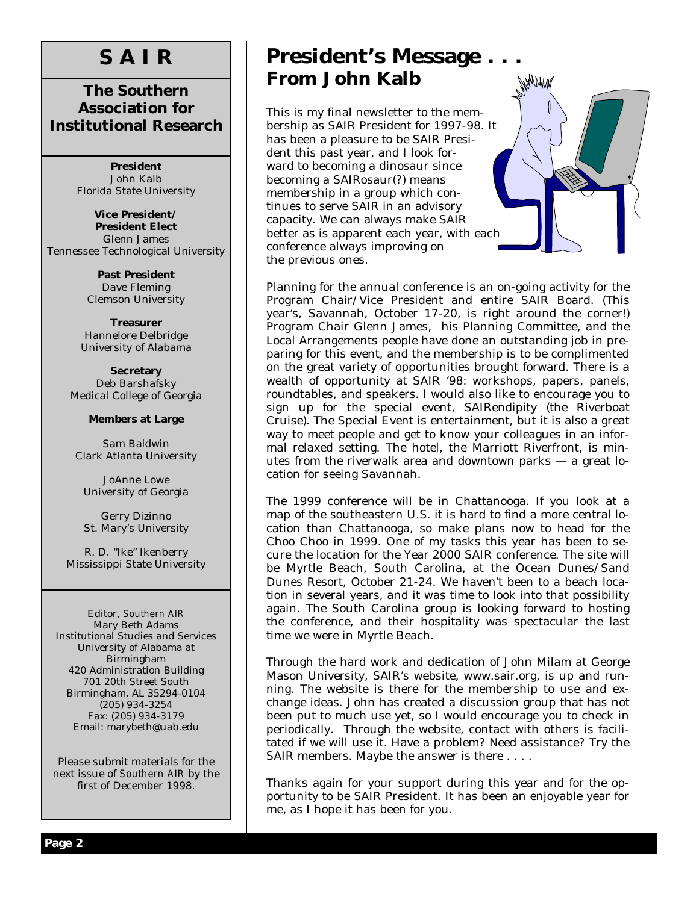# **S A I R**

# **The Southern Association for Institutional Research**

**President** John Kalb Florida State University

**Vice President/ President Elect** Glenn James Tennessee Technological University

> **Past President** Dave Fleming Clemson University

**Treasurer** Hannelore Delbridge University of Alabama

**Secretary** Deb Barshafsky Medical College of Georgia

### **Members at Large**

Sam Baldwin Clark Atlanta University

JoAnne Lowe University of Georgia

Gerry Dizinno St. Mary's University

R. D. "Ike" Ikenberry Mississippi State University

Editor, *Southern AIR* Mary Beth Adams Institutional Studies and Services University of Alabama at Birmingham 420 Administration Building 701 20th Street South Birmingham, AL 35294-0104 (205) 934-3254 Fax: (205) 934-3179 Email: marybeth@uab.edu

Please submit materials for the next issue of *Southern AIR* by the first of December 1998.

# **President's Message . . . From John Kalb**

This is my final newsletter to the membership as SAIR President for 1997-98. It has been a pleasure to be SAIR President this past year, and I look forward to becoming a dinosaur since becoming a SAIRosaur(?) means membership in a group which continues to serve SAIR in an advisory capacity. We can always make SAIR better as is apparent each year, with each conference always improving on the previous ones.



Planning for the annual conference is an on-going activity for the Program Chair/Vice President and entire SAIR Board. (This year's, Savannah, October 17-20, is right around the corner!) Program Chair Glenn James, his Planning Committee, and the Local Arrangements people have done an outstanding job in preparing for this event, and the membership is to be complimented on the great variety of opportunities brought forward. There is a wealth of opportunity at SAIR '98: workshops, papers, panels, roundtables, and speakers. I would also like to encourage you to sign up for the special event, SAIRendipity (the Riverboat Cruise). The Special Event is entertainment, but it is also a great way to meet people and get to know your colleagues in an informal relaxed setting. The hotel, the Marriott Riverfront, is minutes from the riverwalk area and downtown parks — a great location for seeing Savannah.

The 1999 conference will be in Chattanooga. If you look at a map of the southeastern U.S. it is hard to find a more central location than Chattanooga, so make plans now to head for the Choo Choo in 1999. One of my tasks this year has been to secure the location for the Year 2000 SAIR conference. The site will be Myrtle Beach, South Carolina, at the Ocean Dunes/Sand Dunes Resort, October 21-24. We haven't been to a beach location in several years, and it was time to look into that possibility again. The South Carolina group is looking forward to hosting the conference, and their hospitality was spectacular the last time we were in Myrtle Beach.

Through the hard work and dedication of John Milam at George Mason University, SAIR's website, www.sair.org, is up and running. The website is there for the membership to use and exchange ideas. John has created a discussion group that has not been put to much use yet, so I would encourage you to check in periodically. Through the website, contact with others is facilitated if we will use it. Have a problem? Need assistance? Try the SAIR members. Maybe the answer is there . . . .

Thanks again for your support during this year and for the opportunity to be SAIR President. It has been an enjoyable year for me, as I hope it has been for you.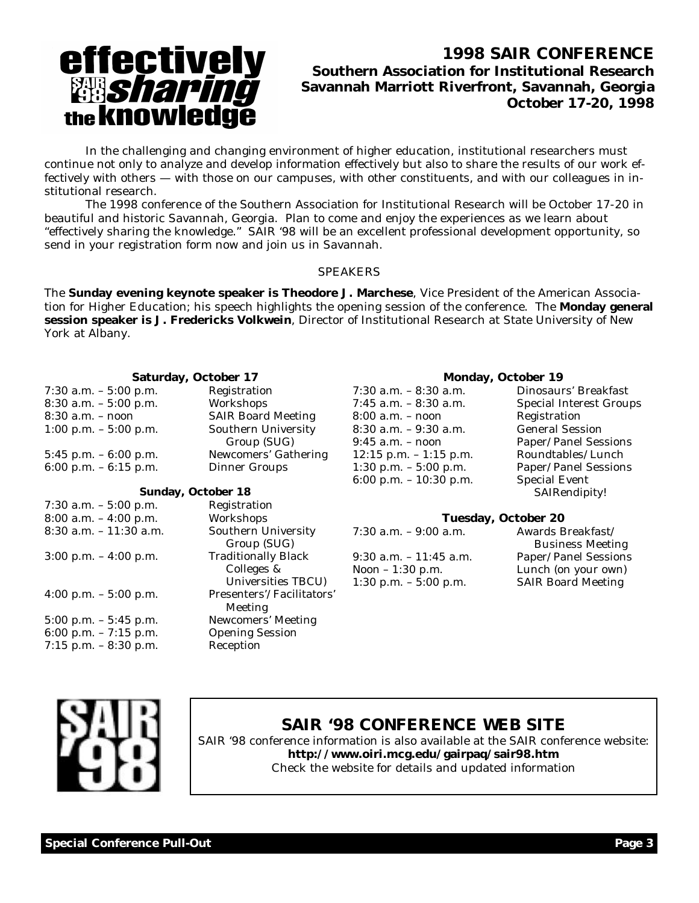# effectively<br>**Bisharing**<br>the knowledge

# **1998 SAIR CONFERENCE Southern Association for Institutional Research Savannah Marriott Riverfront, Savannah, Georgia October 17-20, 1998**

 In the challenging and changing environment of higher education, institutional researchers must continue not only to analyze and develop information effectively but also to share the results of our work effectively with others — with those on our campuses, with other constituents, and with our colleagues in institutional research.

 The 1998 conference of the Southern Association for Institutional Research will be October 17-20 in beautiful and historic Savannah, Georgia. Plan to come and enjoy the experiences as we learn about "effectively sharing the knowledge." SAIR '98 will be an excellent professional development opportunity, so send in your registration form now and join us in Savannah.

### SPEAKERS

The **Sunday evening keynote speaker is Theodore J. Marchese**, Vice President of the American Association for Higher Education; his speech highlights the opening session of the conference. The **Monday general session speaker is J. Fredericks Volkwein**, Director of Institutional Research at State University of New York at Albany.

### **Saturday, October 17**

| 7:30 a.m. $-5:00$ p.m.   | Registration              |
|--------------------------|---------------------------|
| $8:30$ a.m. $-5:00$ p.m. | Workshops                 |
| $8:30$ a.m. $-$ noon     | <b>SAIR Board Meeting</b> |
| $1:00$ p.m. $-5:00$ p.m. | Southern University       |
|                          | Group (SUG)               |
| $5:45$ p.m. $-6:00$ p.m. | Newcomers' Gathering      |
| 6:00 p.m. $-6:15$ p.m.   | Dinner Groups             |
|                          |                           |

### **Sunday, October 18**

| 7:30 a.m. - 5:00 p.m.    | Registration                             |  |
|--------------------------|------------------------------------------|--|
| 8:00 a.m. – 4:00 p.m.    | Workshops                                |  |
| 8:30 a.m. – 11:30 a.m.   | Southern University<br>Group (SUG)       |  |
| $3:00$ p.m. $-4:00$ p.m. | <b>Traditionally Black</b><br>Colleges & |  |
|                          | Universities TBCU)                       |  |
| 4:00 p.m. $-5:00$ p.m.   | Presenters'/Facilitators'<br>Meeting     |  |
| 5:00 p.m. – 5:45 p.m.    | Newcomers' Meeting                       |  |
| 6:00 p.m. $-7:15$ p.m.   | <b>Opening Session</b>                   |  |
| $7:15$ p.m. $-8:30$ p.m. | Reception                                |  |

### 7:30 a.m. – 8:30 a.m. Dinosaurs' Breakfast 7:45 a.m. – 8:30 a.m. Special Interest Groups 8:00 a.m. – noon Registration 8:30 a.m. – 9:30 a.m. General Session 9:45 a.m. – noon Paper/Panel Sessions  $12:15$  p.m.  $-1:15$  p.m. Roundtables/Lunch 1:30 p.m. – 5:00 p.m. Paper/Panel Sessions

### **Monday, October 19**

6:00 p.m. – 10:30 p.m. Special Event SAIRendipity!

### **Tuesday, October 20**

| Awards Breakfast/         |  |
|---------------------------|--|
| <b>Business Meeting</b>   |  |
| Paper/Panel Sessions      |  |
| Lunch (on your own)       |  |
| <b>SAIR Board Meeting</b> |  |
|                           |  |



# **SAIR '98 CONFERENCE WEB SITE**

SAIR '98 conference information is also available at the SAIR conference website: **http://www.oiri.mcg.edu/gairpaq/sair98.htm** Check the website for details and updated information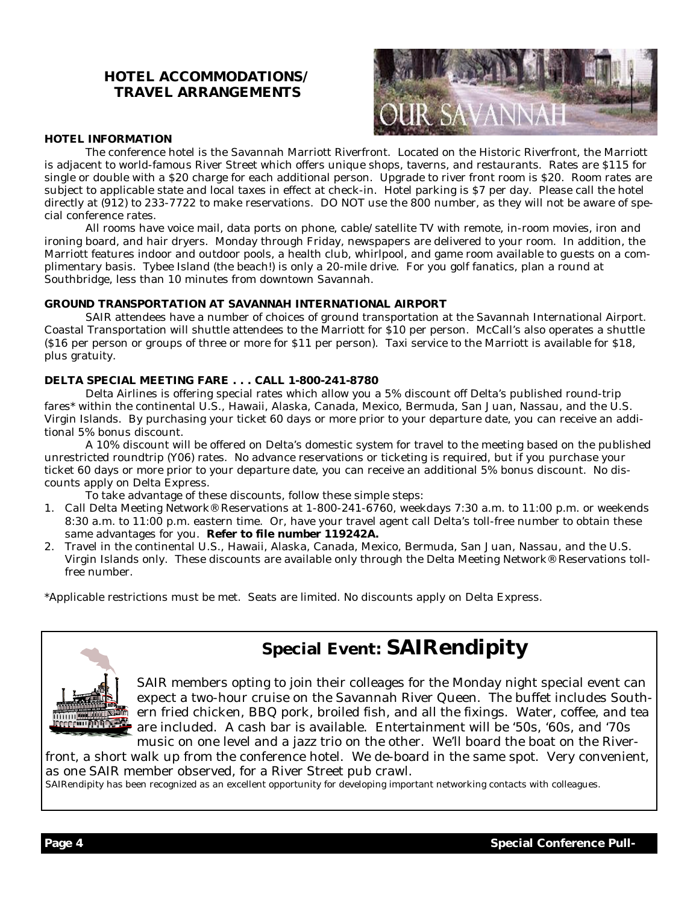# **HOTEL ACCOMMODATIONS/ TRAVEL ARRANGEMENTS**



### **HOTEL INFORMATION**

 The conference hotel is the Savannah Marriott Riverfront. Located on the Historic Riverfront, the Marriott is adjacent to world-famous River Street which offers unique shops, taverns, and restaurants. Rates are \$115 for single or double with a \$20 charge for each additional person. Upgrade to river front room is \$20. Room rates are subject to applicable state and local taxes in effect at check-in. Hotel parking is \$7 per day. Please call the hotel directly at (912) to 233-7722 to make reservations. DO NOT use the 800 number, as they will not be aware of special conference rates.

 All rooms have voice mail, data ports on phone, cable/satellite TV with remote, in-room movies, iron and ironing board, and hair dryers. Monday through Friday, newspapers are delivered to your room. In addition, the Marriott features indoor and outdoor pools, a health club, whirlpool, and game room available to guests on a complimentary basis. Tybee Island (the beach!) is only a 20-mile drive. For you golf fanatics, plan a round at Southbridge, less than 10 minutes from downtown Savannah.

### **GROUND TRANSPORTATION AT SAVANNAH INTERNATIONAL AIRPORT**

 SAIR attendees have a number of choices of ground transportation at the Savannah International Airport. Coastal Transportation will shuttle attendees to the Marriott for \$10 per person. McCall's also operates a shuttle (\$16 per person or groups of three or more for \$11 per person). Taxi service to the Marriott is available for \$18, plus gratuity.

### **DELTA SPECIAL MEETING FARE . . . CALL 1-800-241-8780**

 Delta Airlines is offering special rates which allow you a 5% discount off Delta's published round-trip fares\* within the continental U.S., Hawaii, Alaska, Canada, Mexico, Bermuda, San Juan, Nassau, and the U.S. Virgin Islands. By purchasing your ticket 60 days or more prior to your departure date, you can receive an additional 5% bonus discount.

 A 10% discount will be offered on Delta's domestic system for travel to the meeting based on the published unrestricted roundtrip (Y06) rates. No advance reservations or ticketing is required, but if you purchase your ticket 60 days or more prior to your departure date, you can receive an additional 5% bonus discount. No discounts apply on Delta Express.

To take advantage of these discounts, follow these simple steps:

- 1. Call Delta Meeting Network® Reservations at 1-800-241-6760, weekdays 7:30 a.m. to 11:00 p.m. or weekends 8:30 a.m. to 11:00 p.m. eastern time. Or, have your travel agent call Delta's toll-free number to obtain these same advantages for you. **Refer to file number 119242A.**
- 2. Travel in the continental U.S., Hawaii, Alaska, Canada, Mexico, Bermuda, San Juan, Nassau, and the U.S. Virgin Islands only. These discounts are available only through the Delta Meeting Network® Reservations tollfree number.

\*Applicable restrictions must be met. Seats are limited. No discounts apply on Delta Express.



# **Special Event: SAIRendipity**

SAIR members opting to join their colleages for the Monday night special event can expect a two-hour cruise on the Savannah River Queen. The buffet includes Southern fried chicken, BBQ pork, broiled fish, and all the fixings. Water, coffee, and tea are included. A cash bar is available. Entertainment will be '50s, '60s, and '70s music on one level and a jazz trio on the other. We'll board the boat on the River-

front, a short walk up from the conference hotel. We de-board in the same spot. Very convenient, as one SAIR member observed, for a River Street pub crawl.

SAIRendipity has been recognized as an excellent opportunity for developing important networking contacts with colleagues.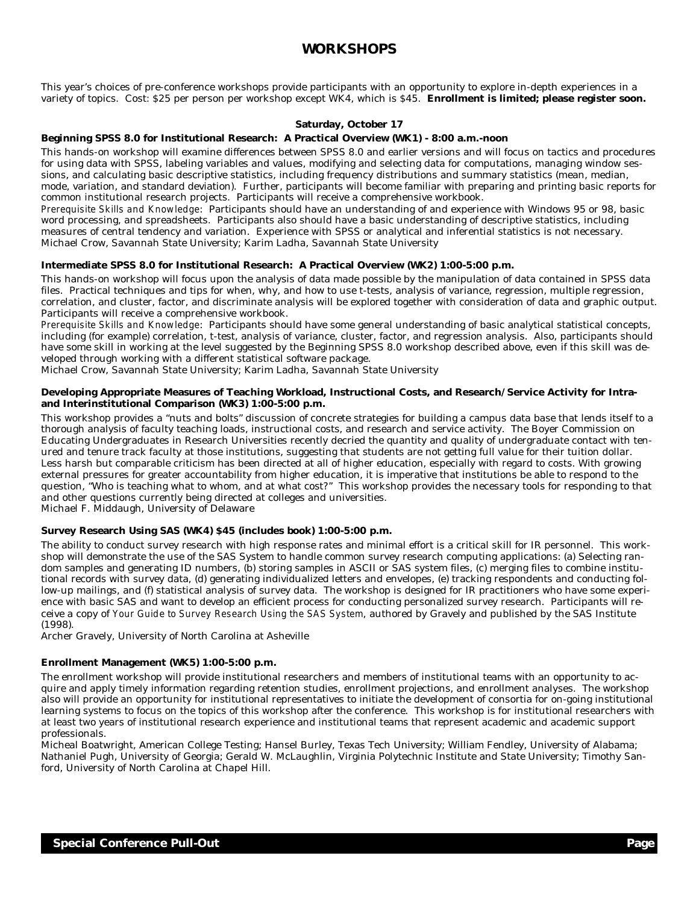## **WORKSHOPS**

This year's choices of pre-conference workshops provide participants with an opportunity to explore in-depth experiences in a variety of topics. Cost: \$25 per person per workshop except WK4, which is \$45. **Enrollment is limited; please register soon.**

### **Saturday, October 17**

### **Beginning SPSS 8.0 for Institutional Research: A Practical Overview (WK1) - 8:00 a.m.-noon**

This hands-on workshop will examine differences between SPSS 8.0 and earlier versions and will focus on tactics and procedures for using data with SPSS, labeling variables and values, modifying and selecting data for computations, managing window sessions, and calculating basic descriptive statistics, including frequency distributions and summary statistics (mean, median, mode, variation, and standard deviation). Further, participants will become familiar with preparing and printing basic reports for common institutional research projects. Participants will receive a comprehensive workbook.

*Prerequisite Skills and Knowledge*: Participants should have an understanding of and experience with Windows 95 or 98, basic word processing, and spreadsheets. Participants also should have a basic understanding of descriptive statistics, including measures of central tendency and variation. Experience with SPSS or analytical and inferential statistics is not necessary. Michael Crow, Savannah State University; Karim Ladha, Savannah State University

### **Intermediate SPSS 8.0 for Institutional Research: A Practical Overview (WK2) 1:00-5:00 p.m.**

This hands-on workshop will focus upon the analysis of data made possible by the manipulation of data contained in SPSS data files. Practical techniques and tips for when, why, and how to use t-tests, analysis of variance, regression, multiple regression, correlation, and cluster, factor, and discriminate analysis will be explored together with consideration of data and graphic output. Participants will receive a comprehensive workbook.

*Prerequisite Skills and Knowledge*: Participants should have some general understanding of basic analytical statistical concepts, including (for example) correlation, t-test, analysis of variance, cluster, factor, and regression analysis. Also, participants should have some skill in working at the level suggested by the Beginning SPSS 8.0 workshop described above, even if this skill was developed through working with a different statistical software package.

Michael Crow, Savannah State University; Karim Ladha, Savannah State University

### **Developing Appropriate Measures of Teaching Workload, Instructional Costs, and Research/Service Activity for Intraand Interinstitutional Comparison (WK3) 1:00-5:00 p.m.**

This workshop provides a "nuts and bolts" discussion of concrete strategies for building a campus data base that lends itself to a thorough analysis of faculty teaching loads, instructional costs, and research and service activity. The Boyer Commission on Educating Undergraduates in Research Universities recently decried the quantity and quality of undergraduate contact with tenured and tenure track faculty at those institutions, suggesting that students are not getting full value for their tuition dollar. Less harsh but comparable criticism has been directed at all of higher education, especially with regard to costs. With growing external pressures for greater accountability from higher education, it is imperative that institutions be able to respond to the question, "Who is teaching what to whom, and at what cost?" This workshop provides the necessary tools for responding to that and other questions currently being directed at colleges and universities.

Michael F. Middaugh, University of Delaware

### **Survey Research Using SAS (WK4) \$45 (includes book) 1:00-5:00 p.m.**

The ability to conduct survey research with high response rates and minimal effort is a critical skill for IR personnel. This workshop will demonstrate the use of the SAS System to handle common survey research computing applications: (a) Selecting random samples and generating ID numbers, (b) storing samples in ASCII or SAS system files, (c) merging files to combine institutional records with survey data, (d) generating individualized letters and envelopes, (e) tracking respondents and conducting follow-up mailings, and (f) statistical analysis of survey data. The workshop is designed for IR practitioners who have some experience with basic SAS and want to develop an efficient process for conducting personalized survey research. Participants will receive a copy of *Your Guide to Survey Research Using the SAS System*, authored by Gravely and published by the SAS Institute (1998).

Archer Gravely, University of North Carolina at Asheville

### **Enrollment Management (WK5) 1:00-5:00 p.m.**

The enrollment workshop will provide institutional researchers and members of institutional teams with an opportunity to acquire and apply timely information regarding retention studies, enrollment projections, and enrollment analyses. The workshop also will provide an opportunity for institutional representatives to initiate the development of consortia for on-going institutional learning systems to focus on the topics of this workshop after the conference. This workshop is for institutional researchers with at least two years of institutional research experience and institutional teams that represent academic and academic support professionals.

Micheal Boatwright, American College Testing; Hansel Burley, Texas Tech University; William Fendley, University of Alabama; Nathaniel Pugh, University of Georgia; Gerald W. McLaughlin, Virginia Polytechnic Institute and State University; Timothy Sanford, University of North Carolina at Chapel Hill.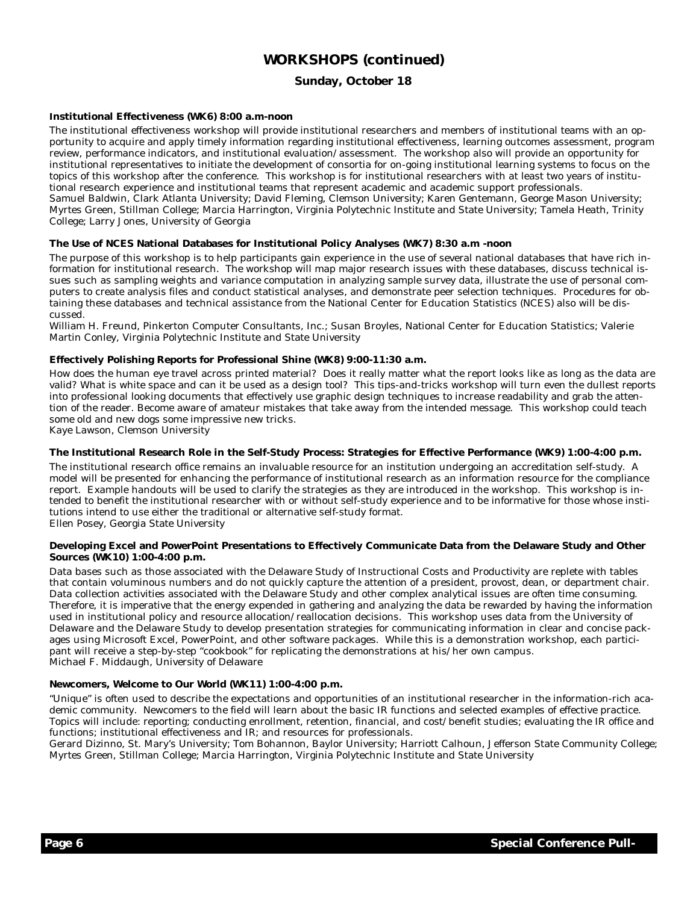# **WORKSHOPS (continued)**

### **Sunday, October 18**

### **Institutional Effectiveness (WK6) 8:00 a.m-noon**

The institutional effectiveness workshop will provide institutional researchers and members of institutional teams with an opportunity to acquire and apply timely information regarding institutional effectiveness, learning outcomes assessment, program review, performance indicators, and institutional evaluation/assessment. The workshop also will provide an opportunity for institutional representatives to initiate the development of consortia for on-going institutional learning systems to focus on the topics of this workshop after the conference. This workshop is for institutional researchers with at least two years of institutional research experience and institutional teams that represent academic and academic support professionals. Samuel Baldwin, Clark Atlanta University; David Fleming, Clemson University; Karen Gentemann, George Mason University; Myrtes Green, Stillman College; Marcia Harrington, Virginia Polytechnic Institute and State University; Tamela Heath, Trinity College; Larry Jones, University of Georgia

### **The Use of NCES National Databases for Institutional Policy Analyses (WK7) 8:30 a.m -noon**

The purpose of this workshop is to help participants gain experience in the use of several national databases that have rich information for institutional research. The workshop will map major research issues with these databases, discuss technical issues such as sampling weights and variance computation in analyzing sample survey data, illustrate the use of personal computers to create analysis files and conduct statistical analyses, and demonstrate peer selection techniques. Procedures for obtaining these databases and technical assistance from the National Center for Education Statistics (NCES) also will be discussed.

William H. Freund, Pinkerton Computer Consultants, Inc.; Susan Broyles, National Center for Education Statistics; Valerie Martin Conley, Virginia Polytechnic Institute and State University

### **Effectively Polishing Reports for Professional Shine (WK8) 9:00-11:30 a.m.**

How does the human eye travel across printed material? Does it really matter what the report looks like as long as the data are valid? What is white space and can it be used as a design tool? This tips-and-tricks workshop will turn even the dullest reports into professional looking documents that effectively use graphic design techniques to increase readability and grab the attention of the reader. Become aware of amateur mistakes that take away from the intended message. This workshop could teach some old and new dogs some impressive new tricks.

Kaye Lawson, Clemson University

### **The Institutional Research Role in the Self-Study Process: Strategies for Effective Performance (WK9) 1:00-4:00 p.m.**

The institutional research office remains an invaluable resource for an institution undergoing an accreditation self-study. A model will be presented for enhancing the performance of institutional research as an information resource for the compliance report. Example handouts will be used to clarify the strategies as they are introduced in the workshop. This workshop is intended to benefit the institutional researcher with or without self-study experience and to be informative for those whose institutions intend to use either the traditional or alternative self-study format. Ellen Posey, Georgia State University

### **Developing Excel and PowerPoint Presentations to Effectively Communicate Data from the Delaware Study and Other Sources (WK10) 1:00-4:00 p.m.**

Data bases such as those associated with the Delaware Study of Instructional Costs and Productivity are replete with tables that contain voluminous numbers and do not quickly capture the attention of a president, provost, dean, or department chair. Data collection activities associated with the Delaware Study and other complex analytical issues are often time consuming. Therefore, it is imperative that the energy expended in gathering and analyzing the data be rewarded by having the information used in institutional policy and resource allocation/reallocation decisions. This workshop uses data from the University of Delaware and the Delaware Study to develop presentation strategies for communicating information in clear and concise packages using Microsoft Excel, PowerPoint, and other software packages. While this is a demonstration workshop, each participant will receive a step-by-step "cookbook" for replicating the demonstrations at his/her own campus. Michael F. Middaugh, University of Delaware

### **Newcomers, Welcome to Our World (WK11) 1:00-4:00 p.m.**

"Unique" is often used to describe the expectations and opportunities of an institutional researcher in the information-rich academic community. Newcomers to the field will learn about the basic IR functions and selected examples of effective practice. Topics will include: reporting; conducting enrollment, retention, financial, and cost/benefit studies; evaluating the IR office and functions; institutional effectiveness and IR; and resources for professionals.

Gerard Dizinno, St. Mary's University; Tom Bohannon, Baylor University; Harriott Calhoun, Jefferson State Community College; Myrtes Green, Stillman College; Marcia Harrington, Virginia Polytechnic Institute and State University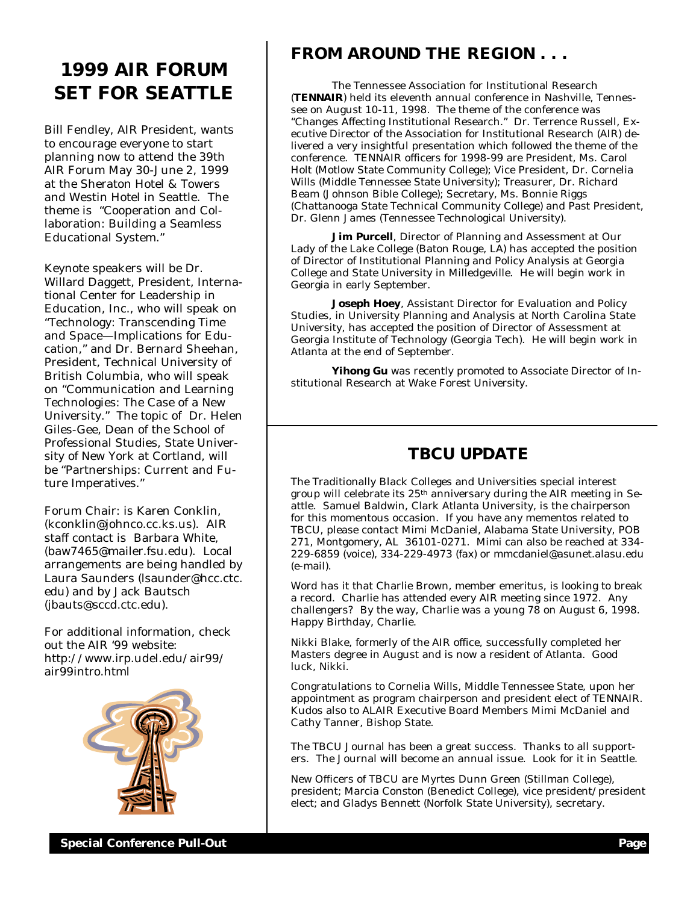# **1999 AIR FORUM SET FOR SEATTLE**

Bill Fendley, AIR President, wants to encourage everyone to start planning now to attend the 39th AIR Forum May 30-June 2, 1999 at the Sheraton Hotel & Towers and Westin Hotel in Seattle. The theme is "Cooperation and Collaboration: Building a Seamless Educational System."

Keynote speakers will be Dr. Willard Daggett, President, International Center for Leadership in Education, Inc., who will speak on "Technology: Transcending Time and Space— Implications for Education," and Dr. Bernard Sheehan, President, Technical University of British Columbia, who will speak on "Communication and Learning Technologies: The Case of a New University." The topic of Dr. Helen Giles-Gee, Dean of the School of Professional Studies, State University of New York at Cortland, will be "Partnerships: Current and Future Imperatives."

Forum Chair: is Karen Conklin, (kconklin@johnco.cc.ks.us). AIR staff contact is Barbara White, (baw7465@mailer.fsu.edu). Local arrangements are being handled by Laura Saunders (lsaunder@hcc.ctc. edu) and by Jack Bautsch (jbauts@sccd.ctc.edu).

For additional information, check out the AIR '99 website: http://www.irp.udel.edu/air99/ air99intro.html



# **FROM AROUND THE REGION . . .**

 The Tennessee Association for Institutional Research (**TENNAIR**) held its eleventh annual conference in Nashville, Tennessee on August 10-11, 1998. The theme of the conference was "Changes Affecting Institutional Research." Dr. Terrence Russell, Executive Director of the Association for Institutional Research (AIR) delivered a very insightful presentation which followed the theme of the conference. TENNAIR officers for 1998-99 are President, Ms. Carol Holt (Motlow State Community College); Vice President, Dr. Cornelia Wills (Middle Tennessee State University); Treasurer, Dr. Richard Beam (Johnson Bible College); Secretary, Ms. Bonnie Riggs (Chattanooga State Technical Community College) and Past President, Dr. Glenn James (Tennessee Technological University).

**Jim Purcell**, Director of Planning and Assessment at Our Lady of the Lake College (Baton Rouge, LA) has accepted the position of Director of Institutional Planning and Policy Analysis at Georgia College and State University in Milledgeville. He will begin work in Georgia in early September.

 **Joseph Hoey**, Assistant Director for Evaluation and Policy Studies, in University Planning and Analysis at North Carolina State University, has accepted the position of Director of Assessment at Georgia Institute of Technology (Georgia Tech). He will begin work in Atlanta at the end of September.

 **Yihong Gu** was recently promoted to Associate Director of Institutional Research at Wake Forest University.

# **TBCU UPDATE**

The Traditionally Black Colleges and Universities special interest group will celebrate its 25<sup>th</sup> anniversary during the AIR meeting in Seattle. Samuel Baldwin, Clark Atlanta University, is the chairperson for this momentous occasion. If you have any mementos related to TBCU, please contact Mimi McDaniel, Alabama State University, POB 271, Montgomery, AL 36101-0271. Mimi can also be reached at 334- 229-6859 (voice), 334-229-4973 (fax) or mmcdaniel@asunet.alasu.edu (e-mail).

Word has it that Charlie Brown, member emeritus, is looking to break a record. Charlie has attended every AIR meeting since 1972. Any challengers? By the way, Charlie was a young 78 on August 6, 1998. Happy Birthday, Charlie.

Nikki Blake, formerly of the AIR office, successfully completed her Masters degree in August and is now a resident of Atlanta. Good luck, Nikki.

Congratulations to Cornelia Wills, Middle Tennessee State, upon her appointment as program chairperson and president elect of TENNAIR. Kudos also to ALAIR Executive Board Members Mimi McDaniel and Cathy Tanner, Bishop State.

The TBCU Journal has been a great success. Thanks to all supporters. The Journal will become an annual issue. Look for it in Seattle.

New Officers of TBCU are Myrtes Dunn Green (Stillman College), president; Marcia Conston (Benedict College), vice president/president elect; and Gladys Bennett (Norfolk State University), secretary.